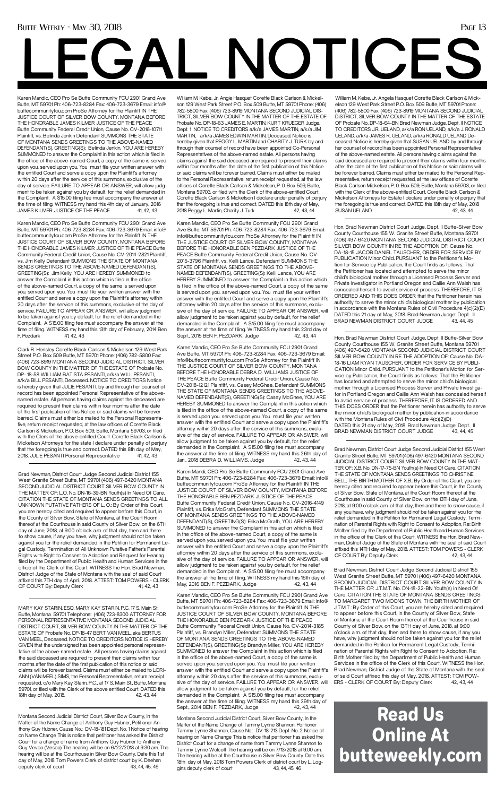### Butte Weekly - May 30, 2018 Page 13

Karen Mandic, CEO Pro Se Butte Community FCU 2901 Grand Ave Butte, MT 59701 Ph: 406-723-8284 Fax: 406-723-3679 Email: info@ buttecommunityfcu.com ProSe Attorney for the Plaintiff IN THE JUSTICE COURT OF SILVER BOW COUNTY, MONTANA BEFORE THE HONORABLE JAMES KILMER JUSTICE OF THE PEACE Butte Community Federal Credit Union, Cause No. CV-2016-10711 Plaintiff, vs. Belinda Jenkin Defendant SUMMONS THE STATE OF MONTANA SENDS GREETINGS TO THE ABOVE-NAMED DEFENDANT(S), GREETING(S): Belinda Jenkin, YOU ARE HEREBY SUMMONED to answer the Complaint in this action which is filed in the office of the above-named Court, a copy of the same is served upon you. served upon you. You must file your written answer with the entitled Court and serve a copy upon the Plaintiff's attorney within 20 days after the service of this summons, exclusive of the day of service. FAILURE TO APPEAR OR ANSWER, will allow judgment to be taken against you by default, for the relief demanded in the Complaint. A \$15.00 filing fee must accompany the answer at the time of filing. WITNESS my hand this 4th day of January, 2016 JAMES KILMER JUSTICE OF THE PEACE 41, 42, 43

### Read Us Online At butteweekly.com

# **LEGAL NOTICES**

Karen Mandic, CEO Pro Se Butte Community FCU 2901 Grand Ave Butte, MT 59701 Ph: 406-723-8284 Fax: 406-723-3679 Email: info@ buttecommunityfcu.com ProSe Attorney for the Plaintiff IN THE JUSTICE COURT OF SILVER BOW COUNTY, MONTANA BEFORE THE HONORABLE JAMES KILMER JUSTICE OF THE PEACE Butte Community Federal Credit Union, Cause No. CV-2014-2821 Plaintiff, vs. Jim Kelly Defendant SUMMONS THE STATE OF MONTANA SENDS GREETINGS TO THE ABOVE-NAMED DEFENDANT(S), GREETING(S): Jim Kelly, YOU ARE HEREBY SUMMONED to answer the Complaint in this action which is filed in the office of the above-named Court, a copy of the same is served upon you. served upon you. You must file your written answer with the entitled Court and serve a copy upon the Plaintiff's attorney within 20 days after the service of this summons, exclusive of the day of service. FAILURE TO APPEAR OR ANSWER, will allow judgment to be taken against you by default, for the relief demanded in the Complaint. A \$15.00 filing fee must accompany the answer at the time of filing. WITNESS my hand this 13th day of February, 2014 Ben F. Pezdark 41, 42, 43

MARY KAY STARIN, ESQ. MARY KAY STARIN, P.C. 17 S. Main St. Butte, Montana 59701 Telephone: (406) 723-8300 ATTORNEY FOR PERSONAL REPRESENTATIVE MONTANA SECOND JUDICIAL DISTRICT COURT, SILVER BOW COUNTY IN THE MATTER OF THE ESTATE OF Probate No. DP-18-47 BERT VAN MEEL, aka BERTUS VAN MEEL, Deceased. NOTICE TO CREDITORS NOTICE IS HEREBY GIVEN that the undersigned has been appointed personal representative of the above-named estate. All persons having claims against the said deceased are required to present their claims within four months after the date of the first publication of this notice or said claims will be forever barred. Claims must either be mailed to LORI-ANN (VAN MEEL) SIMS, the Personal Representative, return receipt requested, c/o Mary Kay Starin, P.C., at 17 S. Main St., Butte, Montana 59701, or filed with the Clerk of the above entitled Court. DATED this 18th day of May, 2018. 42, 43, 44

William M. Kebe, Jr. Angela Hasquet Corette Black Carlson & Mickelson 129 West Park Street P.O. Box 509 Butte, MT 59701 Phone: (406) 782-5800 Fax: (406) 723-8919 MONTANA SECOND JUDICIAL DISTRICT, SILVER BOW COUNTY IN THE MATTER OF THE ESTATE OF Probate No. DP-18-64-BN Brad Newman Judge, Dept. II NOTICE TO CREDITORS J.R. UELAND, a/k/a RON UELAND, a/k/a J. RONALD UELAND. a/k/a JAMES R. UELAND, a/k/a RONALD UELAND Deceased. Notice is hereby given that SUSAN UELAND by and through her counsel of record has been appointed Personal Representative of the above-named estate. All persons having claims against the said deceased are required to present their claims within four months after the date of the first publication of this Notice or said claims will be forever barred. Claims must either be mailed to the Personal Representative, return receipt requested, at the law offices of Corette Black Carlson Mickelson, P. 0. Box 509, Butte, Montana 59703, or tiled with the Clerk of the above-entitled Court, Corette Black Carlson & Mickelson Attorneys for Estate I declare under penalty of perjury that the foregoing is true and correct. DATED this 18th day of May, 2018 SUSAN UELAND 42, 43, 44

Clark R. Hensley Corette Black Carlson & Mickelson 129 West Park Street P.O. Box 509 Butte, MT 59701 Phone: (406) 782-5800 Fax: (406) 723-8919 MONTANA SECOND JUDICIAL DISTRICT, SILVER BOW COUNTY IN THE MATTER OF THE ESTATE OF Probate No. DP- 18-58 WILLIAM BATISTA PESANTI, a/k/a WILL PESANTI, a/k/a BILL PESANTI, Deceased. NOTICE TO CREDITORS Notice is hereby given that JULIE PESANTI, by and through her counsel of record has been appointed Personal Representative of the abovenamed estate. All persons having claims against the deceased are required to present their claims within four months after the date of the first publication of this Notice or said claims will be forever barred. Claims must either be mailed to the Personal Representative, return receipt requested, at the law offices of Corette Black Carlson & Mickelson, P.O. Box 509, Butte, Montana 59703, or filed with the Clerk of the above-entitled Court. Corette Black Carlson & Mickelson Attorneys for the state I declare under penalty of perjury that the foregoing is true and correct. DATED this 8th day of May, 2018. JULIE PESANTI Personal Representative 41, 42, 43

William M. Kebe, Jr. Angie Hasquet Corette Black Carlson & Mickelson 129 West Park Street P.O. Box 509 Butte, MT 59701 Phone: (406) 782-5800 Fax: (406) 723-8919 MONTANA SECOND JUDICIAL DIS-TRICT, SILVER BOW COUNTY IN THE MATTER OF THE ESTATE OF Probate No. DP-18-63 JAMES E. MARTIN, KURT KRUEGER Judge, Dept. 1 NOTICE TO CREDITORS a/k/a JAMES MARTIN, a/k/a JIM MARTIN, a/k/a JAMES EDWIN MARTIN, Deceased. Notice is hereby given that PEGGY L. MARTIN and CHARITY J. TURK by and through their counsel of record have been appointed Co-Personal Representatives of the above-named estate. All persons having claims against the said deceased are required to present their claims within four months after the date of the first publication of this Notice or said claims will be forever barred. Claims must either be mailed to the Personal Representative, return receipt requested, at the law offices of Corette Black Carlson & Mickelson, P. 0. Box 509, Butte, Montana 59703, or filed with the Clerk of the above-entitled Court. Corette Black Carlson & Mickelson I declare under penalty of perjury that the foregoing is true and correct. DATED this 18th day of May, 2018 Peggy L. Martin, Charity J. Turk 42, 43, 44

Karen Mandic, CEO Pro Se Butte Community FCU 2901 Grand Ave Butte, MT 59701 Ph: 406-723-8284 Fax: 406-723-3679 Email: info@buttecommunityfcu.com ProSe Attorney for the Plaintiff IN THE JUSTICE COURT OF SILVER BOW COUNTY, MONTANA BEFORE THE HONORABLE BEN PEZDARK JUSTICE OF THE PEACE Butte Community Federal Credit Union, Cause No. CV-2015-3796 Plaintiff, vs. Kelli Lance, Defendant SUMMONS THE STATE OF MONTANA SENDS GREETINGS TO THE ABOVE-NAMED DEFENDANT(S), GREETING(S): Kelli Lance, YOU ARE HEREBY SUMMONED to answer the Complaint in this action which is filed in the office of the above-named Court, a copy of the same is served upon you. served upon you. You must file your written answer with the entitled Court and serve a copy upon the Plaintiff's attorney within 20 days after the service of this summons, exclusive of the day of service. FAILURE TO APPEAR OR ANSWER, will allow judgment to be taken against you by default, for the relief demanded in the Complaint. A \$15.00 filing fee must accompany the answer at the time of filing. WITNESS my hand this 23rd day of Sept., 2015 BEN F. PEZDARK, Judge 42, 43, 44

Brad Newman, District Court Judge Second Judicial District 155 West Granite Street Butte, MT 59701 (406) 497-6420 MONTANA SECOND JUDICIAL DISTRICT COURT SILVER BOW COUNTY IN THE MATTER OF: L.O. No. DN-16-39-BN Youth(s) In Need Of Care. CITATION THE STATE OF MONTANA SENDS GREETINGS TO ALL UNKNOWN PUTATIVE FATHERS OF L. O.: By Order of this Court, you are hereby cited and required to appear before this Court, in the County of Silver Bow, State of Montana, at the Court Room thereof at the Courthouse in said County of Silver Bow, on the 6TH day of June, 2018, at 9:00 o'clock a.m. of that day, then and there to show cause, if any you have, why judgment should not be taken against you for the relief demanded in the Petition for Permanent Legal Custody, Termination of All Unknown Putative Father's Parental Rights with Right to Consent to Adoption and Request for Hearing filed by the Department of Public Health and Human Services in the office of the Clerk of this Court. WITNESS the Hon. Brad Newman, District Judge of the State of Montana with the seal of said Court affixed this 7TH day of April, 2018. ATTEST: TOM POWERS - CLERK

Karen Mandi, CEO Pro Se Butte Community FCU 2901 Grand Ave Butte, MT 59701 Ph: 406-723-8284 Fax: 406-723-3679 Email: info@ buttecommunityfcu.com ProSe Attorney for the Plaintiff IN THE JUSTICE COURT OF SILVER BOW COUNTY, MONTANA BEFORE THE HONORABLE BEN PEZDARK JUSTICE OF THE PEACE Butte Community Federal Credit Union, Cause No. CV-2016-4149 Plaintiff, vs. Erika McGrath, Defendant SUMMONS THE STATE OF MONTANA SENDS GREETINGS TO THE ABOVE-NAMED DEFENDANT(S), GREETING(S): Erika McGrath, YOU ARE HEREBY SUMMONED to answer the Complaint in this action which is filed in the office of the above-named Court, a copy of the same is served upon you. served upon you. You must file your written answer with the entitled Court and serve a copy upon the Plaintiff's attorney within 20 days after the service of this summons, exclusive of the day of service. FAILURE TO APPEAR OR ANSWER, will allow judgment to be taken against you by default, for the relief demanded in the Complaint. A \$15.00 filing fee must accompany the answer at the time of filing. WITNESS my hand this 16th day of May, 2016 BEN F. PEZDARK, Judge 42, 43, 44

Karen Mandic, CEO Pro Se Butte Community FCU 2901 Grand Ave Butte, MT 59701 Ph: 406-723-8284 Fax: 406-723-3679 Email: info@ buttecommunityfcu.com ProSe Attorney for the Plaintiff IN THE JUSTICE COURT OF SILVER BOW COUNTY, MONTANA BEFORE THE HONORABLE BEN PEZDARK JUSTICE OF THE PEACE Butte Community Federal Credit Union, Cause No. CV-2014-3185 Plaintiff, vs. Brandyn Miller, Defendant SUMMONS THE STATE OF MONTANA SENDS GREETINGS TO THE ABOVE-NAMED DEFENDANT(S), GREETING(S): Brandyn Miller, YOU ARE HEREBY SUMMONED to answer the Complaint in this action which is filed in the office of the above-named Court, a copy of the same is served upon you. served upon you. You must file your written answer with the entitled Court and serve a copy upon the Plaintiff's attorney within 20 days after the service of this summons, exclusive of the day of service. FAILURE TO APPEAR OR ANSWER, will allow judgment to be taken against you by default, for the relief demanded in the Complaint. A \$15.00 filing fee must accompany the answer at the time of filing. WITNESS my hand this 29th day of Sept., 2014 BEN F. PEZDARK, Judge 42, 43, 44

Montana Second Judicial District Court, Silver Bow County, In the Matter of the Name Change of Anthony Guy Hubner, Petitioner Anthony Guy Hubner, Cause No.: DV-18-181 Dept. No. 1 Notice of hearing on Name Change This is notice that petitioner has asked the District Court for a change of name from Anthony Guy Hubner to Anthony Guy Vevco (Vesco) The hearing will be on 6/22/2018 at 9:30 am. The hearing will be at the Courthouse in Silver Bow County. Date this 1 st day of May, 2018 Tom Powers Clerk of district court by K. Deehan deputy clerk of court 43, 44, 45, 46

Montana Second Judicial District Court, Silver Bow County, In the Matter of the Name Change of Tammy Lynne Shannon, Petitioner Tammy Lynne Shannon, Cause No.: DV-18-213 Dept. No. 2 Notice of hearing on Name Change This is notice that petitioner has asked the District Court for a change of name from Tammy Lynne Shannon to Tammy Lynne Wolcott The hearing will be on 7/13/2018 at 9:00 am. The hearing will be at the Courthouse in Silver Bow County. Date this 18th day of May, 2018 Tom Powers Clerk of district court by L. Loggins deputy clerk of court 43, 44, 45, 46

Brad Newman, District Court Judge Second Judicial District 155 West Granite Street Butte, MT 59701 (406) 497-6420 MONTANA SECOND JUDICIAL DISTRICT COURT SILVER BOW COUNTY IN THE MAT-TER OF: X.B. No. DN-17-75-BN Youth(s) In Need Of Care. CITATION THE STATE OF MONTANA SENDS GREETINGS TO CHRISTINE BELL, THE BIRTH MOTHER OF X.B.: By Order of this Court, you are hereby cited and required to appear before this Court, in the County of Silver Bow, State of Montana, at the Court Room thereof at the Courthouse in said County of Silver Bow, on the 13TH day of June, 2018, at 9:00 o'clock a.m. of that day, then and there to show cause, if any you have, why judgment should not be taken against you for the relief demanded in the Petition for Permanent Legal Custody, Termination of Parental Rights with Right to Consent to Adoption, Re: Birth Mother filed by the Department of Public Health and Human Services in the office of the Clerk of this Court. WITNESS the Hon. Brad Newman, District Judge of the State of Montana with the seal of said Court affixed this 14TH day of May, 2018. ATTEST: TOM POWERS - CLERK OF COURT By: Deputy Clerk 42, 43, 44

Brad Newman, District Court Judge Second Judicial District 155 West Granite Street Butte, MT 59701 (406) 497-6420 MONTANA SECOND JUDICIAL DISTRICT COURT SILVER BOW COUNTY IN THE MATTER OF: J.T.M.T. No. DN-18-22-BN Youth(s) In Need Of Care. CITATION THE STATE OF MONTANA SENDS GREETINGS TO MARGARET TWO MOONS TOWN, THE BIRTH MOTHER OF J.T.M.T.: By Order of this Court, you are hereby cited and required to appear before this Court, in the County of Silver Bow, State of Montana, at the Court Room thereof at the Courthouse in said County of Silver Bow, on the 13TH day of June, 2018, at 9:00 o'clock a.m. of that day, then and there to show cause, if any you have, why judgment should not be taken against you for the relief demanded in the Petition for Permanent Legal Custody, Termination of Parental Rights with Right to Consent to Adoption, Re: Birth Mother filed by the Department of Public Health and Human Services in the office of the Clerk of this Court. WITNESS the Hon. Brad Newman, District Judge of the State of Montana with the seal of said Court affixed this day of May, 2018. ATTEST: TOM POW-ERS - CLERK OF COURT By: Deputy Clerk 42, 43, 44

OF COURT By: Deputy Clerk 41, 42, 43

Hon. Brad Newman District Court Judge, Dept. II Butte-Silver Bow County Courthouse 155 W. Granite Street Butte, Montana 59701 (406) 497-6420 MONTANA SECOND JUDICIAL DISTRICT COURT SILVER BOW COUNTY IN RE THE ADOPTION OF: Cause No. DA-18-15 JACOB DANIEL TAUSCHER, ORDER FOR SERVICE BY PUBLICATION Minor Child. PURSUANT to the Petitioner's Motion for Service by Publication, the Court finds as follows: That the Petitioner has located and attempted to serve the minor child's biological mother through a Licensed Process Server and Private Investigator in Portland Oregon and Callie Ann Walsh has concealed herself to avoid service of process. THEREFORE, IT IS ORDERED AND THIS DOES ORDER that the Petitioner herein has authority to serve the minor child's biological mother by publication in accordance with the Montana Rules of Civil Procedure 4(c)(2)(D) DATED this 21 day of May, 2018. Brad Newman Judge: Dept. II BRAD NEWMAN DISTRICT COURT JUDGE 43, 44, 45

Hon. Brad Newman District Court Judge, Dept. II Butte-Silver Bow County Courthouse 155 W. Granite Street Butte, Montana 59701 (406) 497-6420 MONTANA SECOND JUDICIAL DISTRICT COURT SILVER BOW COUNTY IN RE THE ADOPTION OF: Cause No. DA-18-16 LIAM RYAN TAUSCHER, ORDER FOR SERVICE BY PUBLI-CATION Minor Child. PURSUANT to the Petitioner's Motion for Service by Publication, the Court finds as follows: That the Petitioner has located and attempted to serve the minor child's biological mother through a Licensed Process Server and Private Investigator in Portland Oregon and Callie Ann Walsh has concealed herself to avoid service of process. THEREFORE, IT IS ORDERED AND THIS DOES ORDER that the Petitioner herein has authority to serve the minor child's biological mother by publication in accordance with the Montana Rules of Civil Procedure 4(c)(2)(D) DATED this 21 day of May, 2018. Brad Newman Judge: Dept. II BRAD NEWMAN DISTRICT COURT JUDGE 43, 44, 45

Karen Mandic, CEO Pro Se Butte Community FCU 2901 Grand Ave Butte, MT 59701 Ph: 406-723-8284 Fax: 406-723-3679 Email: info@buttecommunityfcu.com ProSe Attorney for the Plaintiff IN THE JUSTICE COURT OF SILVER BOW COUNTY, MONTANA BEFORE THE HONORABLE DEBRA D. WILLIAMS JUSTICE OF THE PEACE Butte Community Federal Credit Union, Cause No. CV-2018-12121 Plaintiff, vs. Casey McGhee, Defendant SUMMONS THE STATE OF MONTANA SENDS GREETINGS TO THE ABOVE-NAMED DEFENDANT(S), GREETING(S): Casey McGhee, YOU ARE HEREBY SUMMONED to answer the Complaint in this action which is filed in the office of the above-named Court, a copy of the same is served upon you. served upon you. You must file your written answer with the entitled Court and serve a copy upon the Plaintiff's attorney within 20 days after the service of this summons, exclusive of the day of service. FAILURE TO APPEAR OR ANSWER, will allow judgment to be taken against you by default, for the relief demanded in the Complaint. A \$15.00 filing fee must accompany the answer at the time of filing. WITNESS my hand this 26th day of Jan., 2018 DEBRA D. WILLIAMS, Judge 42, 43, 44